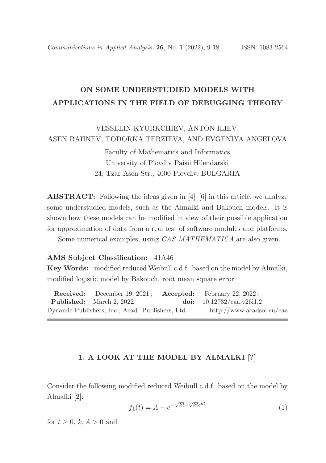# ON SOME UNDERSTUDIED MODELS WITH APPLICATIONS IN THE FIELD OF DEBUGGING THEORY

VESSELIN KYURKCHIEV, ANTON ILIEV, ASEN RAHNEV, TODORKA TERZIEVA, AND EVGENIYA ANGELOVA

> Faculty of Mathematics and Informatics University of Plovdiv Paisii Hilendarski 24, Tzar Asen Str., 4000 Plovdiv, BULGARIA

**ABSTRACT:** Following the ideas given in  $[4]-[6]$  in this article, we analyze some understudied models, such as the Almalki and Bakouch models. It is shown how these models can be modified in view of their possible application for approximation of data from a real test of software modules and platforms.

Some numerical examples, using *CAS MATHEMATICA* are also given.

### AMS Subject Classification: 41A46

Key Words: modified reduced Weibull c.d.f. based on the model by Almalki, modified logistic model by Bakouch, root mean square error

Received: December 19, 2021 ; Accepted: February 22, 2022 ; Published: March 2, 2022. doi: 10.12732/caa.v26i1.2 Dynamic Publishers, Inc., Acad. Publishers, Ltd. http://www.acadsol.eu/caa

#### 1. A LOOK AT THE MODEL BY ALMALKI [?]

Consider the following modified reduced Weibull c.d.f. based on the model by Almalki [2]:

$$
f_1(t) = A - e^{-\sqrt{kt} - \sqrt{kt}e^{kt}}
$$
\n(1)

for  $t \geq 0$ ,  $k, A > 0$  and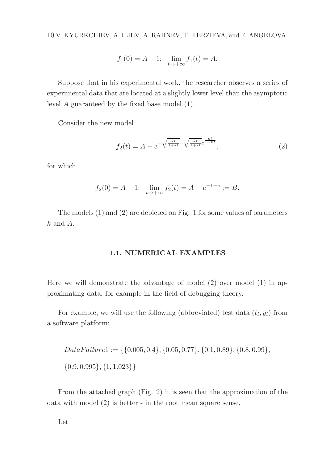10 V. KYURKCHIEV, A. ILIEV, A. RAHNEV, T. TERZIEVA, and E. ANGELOVA

$$
f_1(0) = A - 1;
$$
  $\lim_{t \to +\infty} f_1(t) = A.$ 

Suppose that in his experimental work, the researcher observes a series of experimental data that are located at a slightly lower level than the asymptotic level A guaranteed by the fixed base model (1).

Consider the new model

$$
f_2(t) = A - e^{-\sqrt{\frac{kt}{1+kt}}} - \sqrt{\frac{kt}{1+kt}} e^{\frac{kt}{1+kt}}, \tag{2}
$$

for which

$$
f_2(0) = A - 1;
$$
  $\lim_{t \to +\infty} f_2(t) = A - e^{-1 - e} := B.$ 

The models (1) and (2) are depicted on Fig. 1 for some values of parameters  $k$  and  $A$ .

# 1.1. NUMERICAL EXAMPLES

Here we will demonstrate the advantage of model (2) over model (1) in approximating data, for example in the field of debugging theory.

For example, we will use the following (abbreviated) test data  $(t_i, y_i)$  from a software platform:

$$
DataFailure1 := \{\{0.005, 0.4\}, \{0.05, 0.77\}, \{0.1, 0.89\}, \{0.8, 0.99\}, \{0.9, 0.995\}, \{1, 1.023\}\}\
$$

From the attached graph (Fig. 2) it is seen that the approximation of the data with model (2) is better - in the root mean square sense.

Let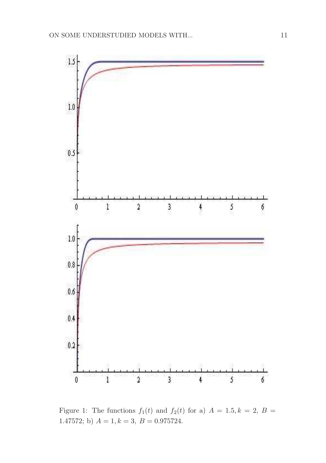

Figure 1: The functions  $f_1(t)$  and  $f_2(t)$  for a)  $A = 1.5, k = 2, B =$ 1.47572; b)  $A = 1, k = 3, B = 0.975724.$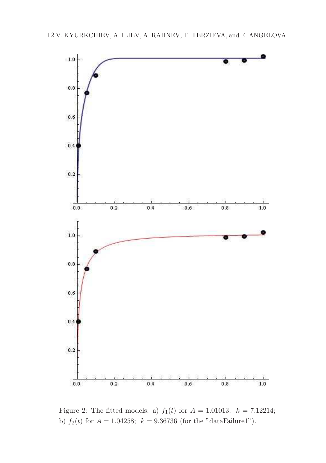

Figure 2: The fitted models: a)  $f_1(t)$  for  $A = 1.01013$ ;  $k = 7.12214$ ; b)  $f_2(t)$  for  $A = 1.04258$ ;  $k = 9.36736$  (for the "dataFailure1").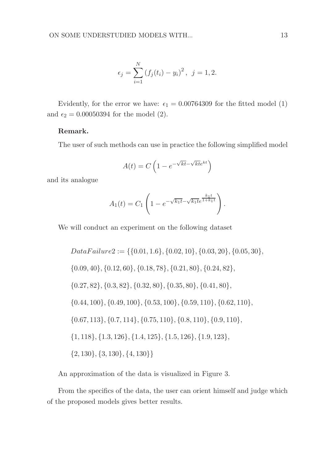$$
\epsilon_j = \sum_{i=1}^{N} (f_j(t_i) - y_i)^2, \ \ j = 1, 2.
$$

Evidently, for the error we have:  $\epsilon_1 = 0.00764309$  for the fitted model (1) and  $\epsilon_2 = 0.00050394$  for the model (2).

# Remark.

The user of such methods can use in practice the following simplified model

$$
A(t) = C \left( 1 - e^{-\sqrt{kt} - \sqrt{kt}e^{kt}} \right)
$$

and its analogue

$$
A_1(t) = C_1 \left( 1 - e^{-\sqrt{k_1 t} - \sqrt{k_1 t} e^{\frac{k_1 t}{1 + k_1 t}}} \right).
$$

We will conduct an experiment on the following dataset

$$
DataFailure2 := \{\{0.01, 1.6\}, \{0.02, 10\}, \{0.03, 20\}, \{0.05, 30\},\
$$

$$
\{0.09, 40\}, \{0.12, 60\}, \{0.18, 78\}, \{0.21, 80\}, \{0.24, 82\},\
$$

$$
\{0.27, 82\}, \{0.3, 82\}, \{0.32, 80\}, \{0.35, 80\}, \{0.41, 80\},\
$$

$$
\{0.44, 100\}, \{0.49, 100\}, \{0.53, 100\}, \{0.59, 110\}, \{0.62, 110\},\
$$

$$
\{0.67, 113\}, \{0.7, 114\}, \{0.75, 110\}, \{0.8, 110\}, \{0.9, 110\},\
$$

$$
\{1, 118\}, \{1.3, 126\}, \{1.4, 125\}, \{1.5, 126\}, \{1.9, 123\},\
$$

$$
\{2, 130\}, \{3, 130\}, \{4, 130\}\}
$$

An approximation of the data is visualized in Figure 3.

From the specifics of the data, the user can orient himself and judge which of the proposed models gives better results.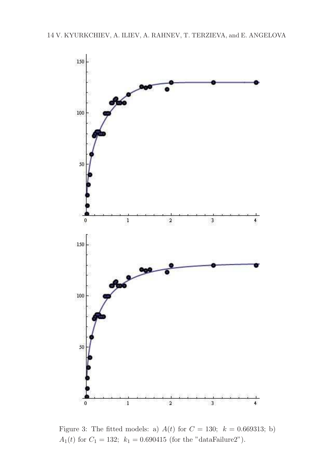

Figure 3: The fitted models: a)  $A(t)$  for  $C = 130$ ;  $k = 0.669313$ ; b) A<sub>1</sub>(t) for  $C_1 = 132$ ;  $k_1 = 0.690415$  (for the "dataFailure2").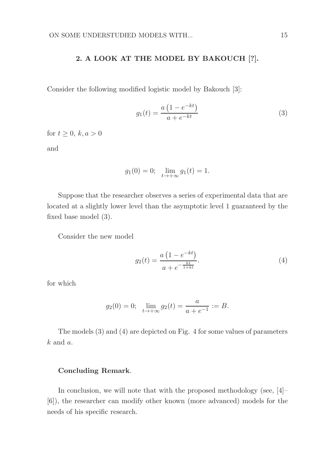## 2. A LOOK AT THE MODEL BY BAKOUCH [?].

Consider the following modified logistic model by Bakouch [3]:

$$
g_1(t) = \frac{a(1 - e^{-kt})}{a + e^{-kt}}\tag{3}
$$

for  $t \geq 0$ ,  $k, a > 0$ 

and

$$
g_1(0) = 0;
$$
  $\lim_{t \to +\infty} g_1(t) = 1.$ 

Suppose that the researcher observes a series of experimental data that are located at a slightly lower level than the asymptotic level 1 guaranteed by the fixed base model (3).

Consider the new model

$$
g_2(t) = \frac{a\left(1 - e^{-kt}\right)}{a + e^{-\frac{kt}{1 + kt}}}.\tag{4}
$$

for which

$$
g_2(0) = 0;
$$
  $\lim_{t \to +\infty} g_2(t) = \frac{a}{a + e^{-1}} := B.$ 

The models (3) and (4) are depicted on Fig. 4 for some values of parameters  $k$  and  $a$ .

## Concluding Remark.

In conclusion, we will note that with the proposed methodology (see, [4]– [6]), the researcher can modify other known (more advanced) models for the needs of his specific research.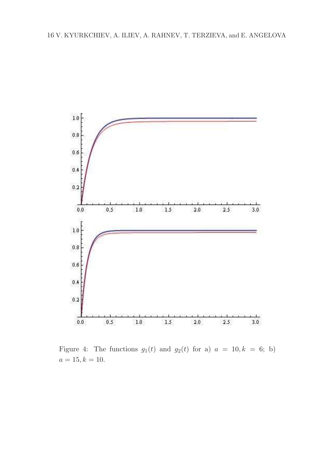

Figure 4: The functions  $g_1(t)$  and  $g_2(t)$  for a)  $a = 10, k = 6;$  b)  $a = 15, k = 10.$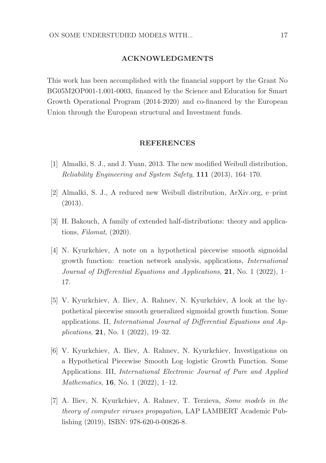#### ACKNOWLEDGMENTS

This work has been accomplished with the financial support by the Grant No BG05M2OP001-1.001-0003, financed by the Science and Education for Smart Growth Operational Program (2014-2020) and co-financed by the European Union through the European structural and Investment funds.

#### REFERENCES

- [1] Almalki, S. J., and J. Yuan, 2013. The new modified Weibull distribution, Reliability Engineering and System Safety, 111 (2013), 164–170.
- [2] Almalki, S. J., A reduced new Weibull distribution, ArXiv.org, e–print (2013).
- [3] H. Bakouch, A family of extended half-distributions: theory and applications, Filomat, (2020).
- [4] N. Kyurkchiev, A note on a hypothetical piecewise smooth sigmoidal growth function: reaction network analysis, applications, International Journal of Differential Equations and Applications, 21, No. 1 (2022), 1– 17.
- [5] V. Kyurkchiev, A. Iliev, A. Rahnev, N. Kyurkchiev, A look at the hypothetical piecewise smooth generalized sigmoidal growth function. Some applications. II, International Journal of Differential Equations and Applications, 21, No. 1 (2022), 19–32.
- [6] V. Kyurkchiev, A. Iliev, A. Rahnev, N. Kyurkchiev, Investigations on a Hypothetical Piecewise Smooth Log–logistic Growth Function. Some Applications. III, International Electronic Journal of Pure and Applied Mathematics, 16, No. 1 (2022), 1–12.
- [7] A. Iliev, N. Kyurkchiev, A. Rahnev, T. Terzieva, Some models in the theory of computer viruses propagation, LAP LAMBERT Academic Publishing (2019), ISBN: 978-620-0-00826-8.